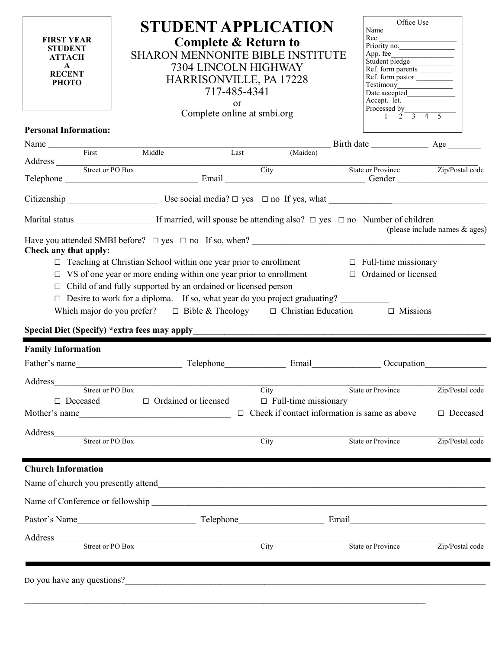| <b>FIRST YEAR</b><br><b>STUDENT</b><br><b>ATTACH</b><br>$\mathbf{A}$<br><b>RECENT</b><br><b>PHOTO</b> | <b>STUDENT APPLICATION</b><br><b>Complete &amp; Return to</b><br><b>SHARON MENNONITE BIBLE INSTITUTE</b><br>7304 LINCOLN HIGHWAY<br>HARRISONVILLE, PA 17228<br>717-485-4341<br><b>or</b><br>Complete online at smbi.org                                                                                                                                       |                                                                                                                      | Office Use<br>Name<br>Rec.<br>Priority no.<br>App. fee<br>Ref. form pastor<br>Testimony<br>Testimony<br>Date accepted<br>Accept. let. Processed by $\frac{1}{2}$ $\frac{3}{3}$ $\frac{4}{5}$ |                                  |
|-------------------------------------------------------------------------------------------------------|---------------------------------------------------------------------------------------------------------------------------------------------------------------------------------------------------------------------------------------------------------------------------------------------------------------------------------------------------------------|----------------------------------------------------------------------------------------------------------------------|----------------------------------------------------------------------------------------------------------------------------------------------------------------------------------------------|----------------------------------|
| <b>Personal Information:</b>                                                                          |                                                                                                                                                                                                                                                                                                                                                               |                                                                                                                      |                                                                                                                                                                                              |                                  |
|                                                                                                       | Name First Middle                                                                                                                                                                                                                                                                                                                                             |                                                                                                                      |                                                                                                                                                                                              |                                  |
|                                                                                                       | Last<br>Address Street or PO Box                                                                                                                                                                                                                                                                                                                              | (Maiden)                                                                                                             |                                                                                                                                                                                              |                                  |
|                                                                                                       | Telephone Street or PO Box<br>Telephone State or Province Zip/Postal code<br>City State or Province Zip/Postal code                                                                                                                                                                                                                                           |                                                                                                                      |                                                                                                                                                                                              |                                  |
|                                                                                                       |                                                                                                                                                                                                                                                                                                                                                               |                                                                                                                      |                                                                                                                                                                                              |                                  |
|                                                                                                       | Marital status ______________________If married, will spouse be attending also? □ yes □ no Number of children                                                                                                                                                                                                                                                 |                                                                                                                      |                                                                                                                                                                                              | (please include names $\&$ ages) |
| Special Diet (Specify) * extra fees may apply                                                         | $\Box$ VS of one year or more ending within one year prior to enrollment $\Box$ Ordained or licensed<br>$\Box$ Child of and fully supported by an ordained or licensed person<br>□ Desire to work for a diploma. If so, what year do you project graduating?<br>Which major do you prefer? $\Box$ Bible & Theology $\Box$ Christian Education $\Box$ Missions | <u> 1980 - John Stein, maritan amerikan basar dan berasal dari berasal dalam berasal dalam berasal dalam berasal</u> |                                                                                                                                                                                              |                                  |
| <b>Family Information</b>                                                                             |                                                                                                                                                                                                                                                                                                                                                               |                                                                                                                      |                                                                                                                                                                                              |                                  |
|                                                                                                       |                                                                                                                                                                                                                                                                                                                                                               |                                                                                                                      |                                                                                                                                                                                              |                                  |
| Address<br>Street or PO Box<br>$\Box$ Deceased                                                        | $\Box$ Ordained or licensed<br>Mother's name                                                                                                                                                                                                                                                                                                                  | City<br>$\Box$ Full-time missionary                                                                                  | <b>State or Province</b><br>$\Box$ Check if contact information is same as above                                                                                                             | Zip/Postal code<br>□ Deceased    |
| Address                                                                                               | Street or PO Box                                                                                                                                                                                                                                                                                                                                              | City                                                                                                                 | <b>State or Province</b>                                                                                                                                                                     | Zip/Postal code                  |
| <b>Church Information</b>                                                                             |                                                                                                                                                                                                                                                                                                                                                               |                                                                                                                      |                                                                                                                                                                                              |                                  |
|                                                                                                       |                                                                                                                                                                                                                                                                                                                                                               |                                                                                                                      |                                                                                                                                                                                              |                                  |
|                                                                                                       |                                                                                                                                                                                                                                                                                                                                                               |                                                                                                                      | Email<br><u> 1989 - Johann John Stone, mars eta bainar eta baina eta erromana eta baina eta baina eta baina eta baina eta</u>                                                                |                                  |
| Address                                                                                               | Street or PO Box                                                                                                                                                                                                                                                                                                                                              | $\overline{City}$                                                                                                    | <b>State or Province</b>                                                                                                                                                                     | Zip/Postal code                  |
|                                                                                                       | Do you have any questions?                                                                                                                                                                                                                                                                                                                                    |                                                                                                                      |                                                                                                                                                                                              |                                  |

۰